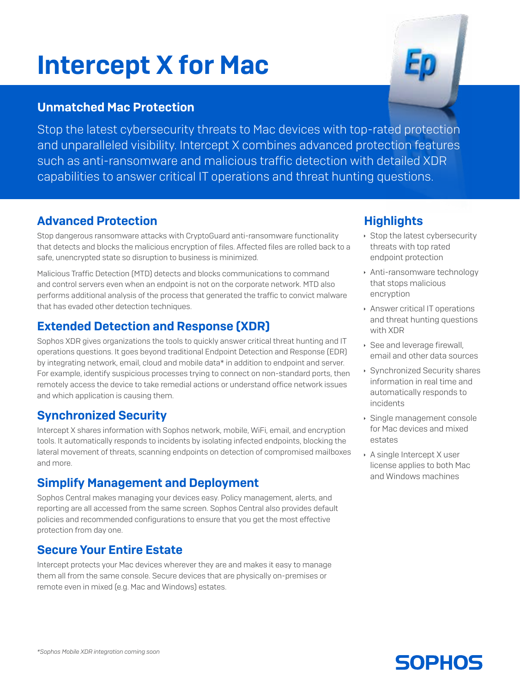# Intercept X for Mac



#### Unmatched Mac Protection

Stop the latest cybersecurity threats to Mac devices with top-rated protection and unparalleled visibility. Intercept X combines advanced protection features such as anti-ransomware and malicious traffic detection with detailed XDR capabilities to answer critical IT operations and threat hunting questions.

#### Advanced Protection

Stop dangerous ransomware attacks with CryptoGuard anti-ransomware functionality that detects and blocks the malicious encryption of files. Affected files are rolled back to a safe, unencrypted state so disruption to business is minimized.

Malicious Traffic Detection (MTD) detects and blocks communications to command and control servers even when an endpoint is not on the corporate network. MTD also performs additional analysis of the process that generated the traffic to convict malware that has evaded other detection techniques.

# Extended Detection and Response (XDR)

Sophos XDR gives organizations the tools to quickly answer critical threat hunting and IT operations questions. It goes beyond traditional Endpoint Detection and Response (EDR) by integrating network, email, cloud and mobile data\* in addition to endpoint and server. For example, identify suspicious processes trying to connect on non-standard ports, then remotely access the device to take remedial actions or understand office network issues and which application is causing them.

# Synchronized Security

Intercept X shares information with Sophos network, mobile, WiFi, email, and encryption tools. It automatically responds to incidents by isolating infected endpoints, blocking the lateral movement of threats, scanning endpoints on detection of compromised mailboxes and more.

# Simplify Management and Deployment

Sophos Central makes managing your devices easy. Policy management, alerts, and reporting are all accessed from the same screen. Sophos Central also provides default policies and recommended configurations to ensure that you get the most effective protection from day one.

#### Secure Your Entire Estate

Intercept protects your Mac devices wherever they are and makes it easy to manage them all from the same console. Secure devices that are physically on-premises or remote even in mixed (e.g. Mac and Windows) estates.

#### **Highlights**

- **Stop the latest cybersecurity** threats with top rated endpoint protection
- **Anti-ransomware technology** that stops malicious encryption
- **Answer critical IT operations** and threat hunting questions with XDR
- **See and leverage firewall,** email and other data sources
- **Synchronized Security shares** information in real time and automatically responds to incidents
- **Single management console** for Mac devices and mixed estates
- $\rightarrow$  A single Intercept X user license applies to both Mac and Windows machines

**SOPHOS**